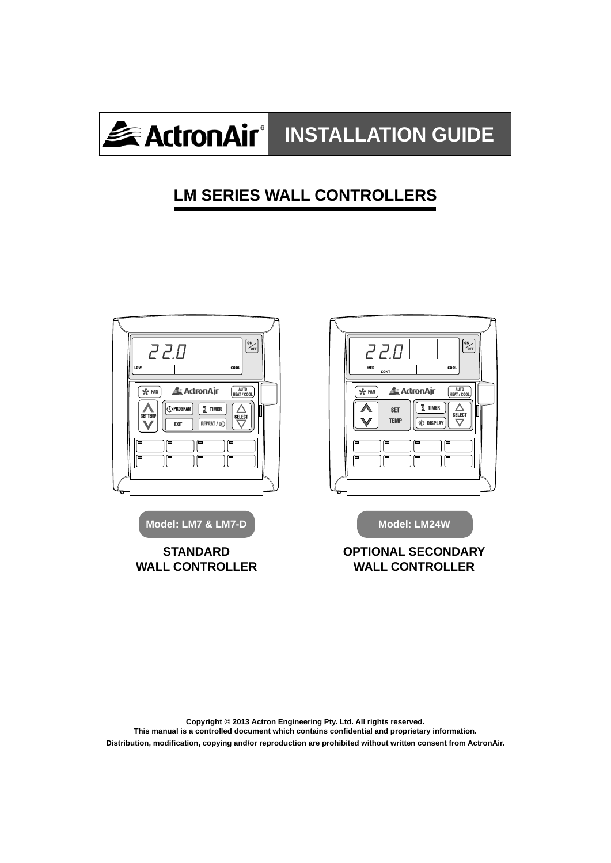

# **LM SERIES WALL CONTROLLERS**



**Copyright © 2013 Actron Engineering Pty. Ltd. All rights reserved.**  This manual is a controlled document which contains confidential and proprietary information. **Distribution, modifi cation, copying and/or reproduction are prohibited without written consent from ActronAir.**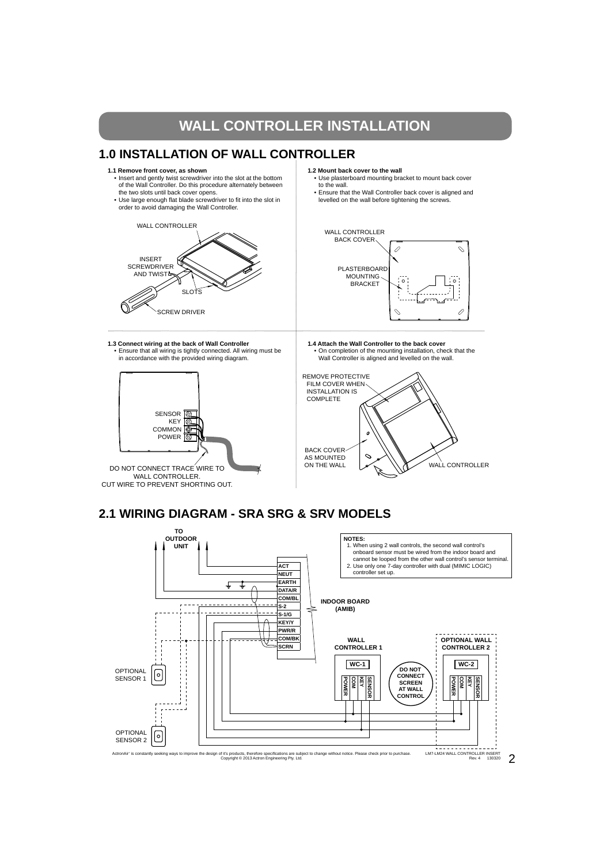## **WALL CONTROLLER INSTALLATION**

## **1.0 INSTALLATION OF WALL CONTROLLER**

- **1.1 Remove front cover, as shown**
- Insert and gently twist screwdriver into the slot at the bottom of the Wall Controller. Do this procedure alternately between the two slots until back cover opens.
- Use large enough flat blade screwdriver to fit into the slot in order to avoid damaging the Wall Controller.



- **1.2 Mount back cover to the wall**  • Use plasterboard mounting bracket to mount back cover to the wall.
	- Ensure that the Wall Controller back cover is aligned and levelled on the wall before tightening the screws.



**1.3 Connect wiring at the back of Wall Controller** • Ensure that all wiring is tightly connected. All wiring must be in accordance with the provided wiring diagram.



- **1.4 Attach the Wall Controller to the back cover**
- On completion of the mounting installation, check that the Wall Controller is aligned and levelled on the wall.



## **2.1 WIRING DIAGRAM - SRA SRG & SRV MODELS**

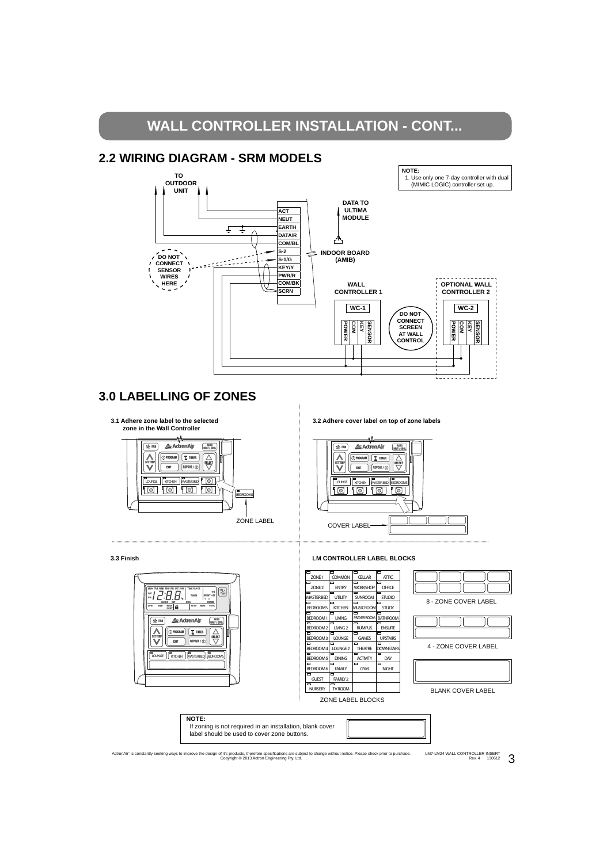# **WALL CONTROLLER INSTALLATION - CONT...**





### **3.0 LABELLING OF ZONES**



LM7-LM24 WALL CONTROLLER INSERT  $R_{\text{ev. 4}}$  130612  $3$ ActronAir" is constantly seeking ways to improve the design of it's products, therefore specifications are subject to change without notice. Please check prior to purchase.<br>Copyright © 2013 Actron Engineering Pty. Ltd.